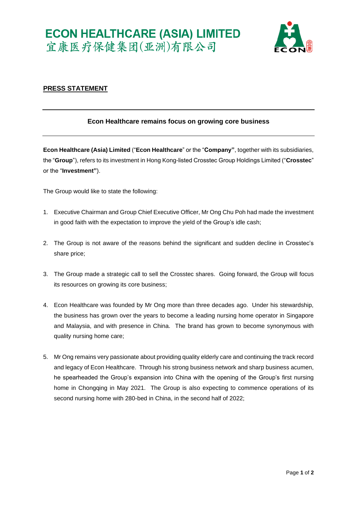# **ECON HEALTHCARE (ASIA) LIMITED** 宜康医疗保健集团(亚洲)有限公司



### **PRESS STATEMENT**

### **Econ Healthcare remains focus on growing core business**

**Econ Healthcare (Asia) Limited** ("**Econ Healthcare**" or the "**Company"**, together with its subsidiaries, the "**Group**"), refers to its investment in Hong Kong-listed Crosstec Group Holdings Limited ("**Crosstec**" or the "**Investment"**).

The Group would like to state the following:

- 1. Executive Chairman and Group Chief Executive Officer, Mr Ong Chu Poh had made the investment in good faith with the expectation to improve the yield of the Group's idle cash;
- 2. The Group is not aware of the reasons behind the significant and sudden decline in Crosstec's share price;
- 3. The Group made a strategic call to sell the Crosstec shares. Going forward, the Group will focus its resources on growing its core business;
- 4. Econ Healthcare was founded by Mr Ong more than three decades ago. Under his stewardship, the business has grown over the years to become a leading nursing home operator in Singapore and Malaysia, and with presence in China. The brand has grown to become synonymous with quality nursing home care;
- 5. Mr Ong remains very passionate about providing quality elderly care and continuing the track record and legacy of Econ Healthcare. Through his strong business network and sharp business acumen, he spearheaded the Group's expansion into China with the opening of the Group's first nursing home in Chongqing in May 2021. The Group is also expecting to commence operations of its second nursing home with 280-bed in China, in the second half of 2022;